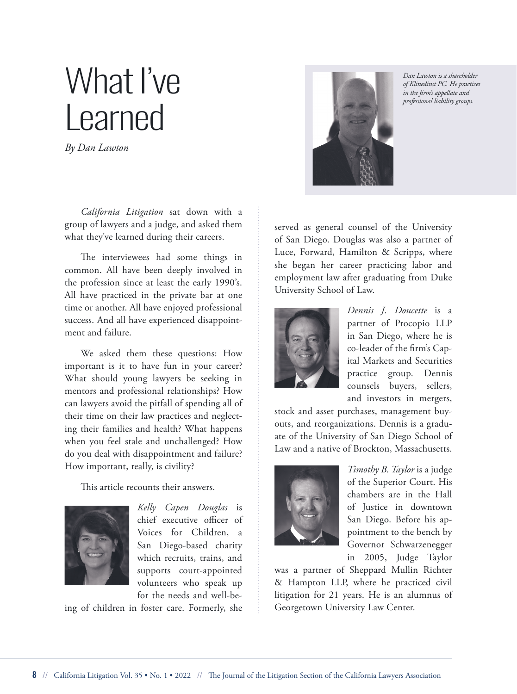# *in the firm's appellate and* What I've Learned

*By Dan Lawton*

*California Litigation* sat down with a group of lawyers and a judge, and asked them what they've learned during their careers.

The interviewees had some things in common. All have been deeply involved in the profession since at least the early 1990's. All have practiced in the private bar at one time or another. All have enjoyed professional success. And all have experienced disappointment and failure.

We asked them these questions: How important is it to have fun in your career? What should young lawyers be seeking in mentors and professional relationships? How can lawyers avoid the pitfall of spending all of their time on their law practices and neglecting their families and health? What happens when you feel stale and unchallenged? How do you deal with disappointment and failure? How important, really, is civility?

This article recounts their answers.



*Kelly Capen Douglas* is chief executive officer of Voices for Children, a San Diego-based charity which recruits, trains, and supports court-appointed volunteers who speak up for the needs and well-be-

ing of children in foster care. Formerly, she



*Dan Lawton is a shareholder of Klinedinst PC. He practices professional liability groups.*

served as general counsel of the University of San Diego. Douglas was also a partner of Luce, Forward, Hamilton & Scripps, where she began her career practicing labor and employment law after graduating from Duke University School of Law.



*Dennis J. Doucette* is a partner of Procopio LLP in San Diego, where he is co-leader of the firm's Capital Markets and Securities practice group. Dennis counsels buyers, sellers, and investors in mergers,

stock and asset purchases, management buyouts, and reorganizations. Dennis is a graduate of the University of San Diego School of Law and a native of Brockton, Massachusetts.



*Timothy B. Taylor* is a judge of the Superior Court. His chambers are in the Hall of Justice in downtown San Diego. Before his appointment to the bench by Governor Schwarzenegger in 2005, Judge Taylor

was a partner of Sheppard Mullin Richter & Hampton LLP, where he practiced civil litigation for 21 years. He is an alumnus of Georgetown University Law Center.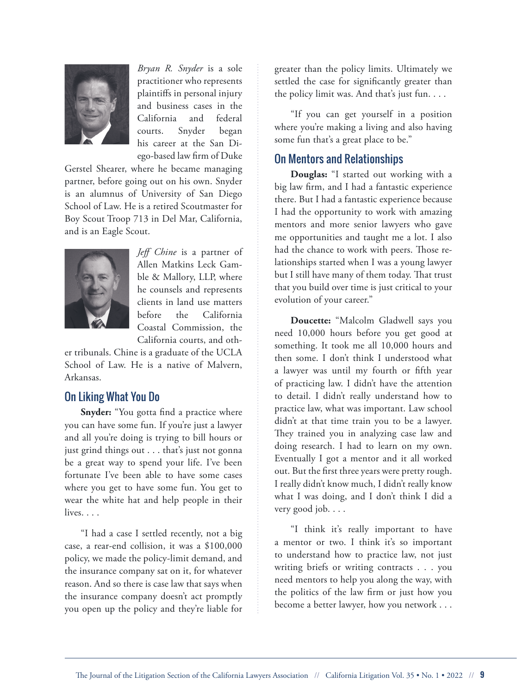

*Bryan R. Snyder* is a sole practitioner who represents plaintiffs in personal injury and business cases in the California and federal courts. Snyder began his career at the San Diego-based law firm of Duke

Gerstel Shearer, where he became managing partner, before going out on his own. Snyder is an alumnus of University of San Diego School of Law. He is a retired Scoutmaster for Boy Scout Troop 713 in Del Mar, California, and is an Eagle Scout.



*Jeff Chine* is a partner of Allen Matkins Leck Gamble & Mallory, LLP, where he counsels and represents clients in land use matters before the California Coastal Commission, the California courts, and oth-

er tribunals. Chine is a graduate of the UCLA School of Law. He is a native of Malvern, Arkansas.

## On Liking What You Do

**Snyder:** "You gotta find a practice where you can have some fun. If you're just a lawyer and all you're doing is trying to bill hours or just grind things out . . . that's just not gonna be a great way to spend your life. I've been fortunate I've been able to have some cases where you get to have some fun. You get to wear the white hat and help people in their lives. . . .

"I had a case I settled recently, not a big case, a rear-end collision, it was a \$100,000 policy, we made the policy-limit demand, and the insurance company sat on it, for whatever reason. And so there is case law that says when the insurance company doesn't act promptly you open up the policy and they're liable for

greater than the policy limits. Ultimately we settled the case for significantly greater than the policy limit was. And that's just fun. . . .

"If you can get yourself in a position where you're making a living and also having some fun that's a great place to be."

## On Mentors and Relationships

**Douglas:** "I started out working with a big law firm, and I had a fantastic experience there. But I had a fantastic experience because I had the opportunity to work with amazing mentors and more senior lawyers who gave me opportunities and taught me a lot. I also had the chance to work with peers. Those relationships started when I was a young lawyer but I still have many of them today. That trust that you build over time is just critical to your evolution of your career."

**Doucette:** "Malcolm Gladwell says you need 10,000 hours before you get good at something. It took me all 10,000 hours and then some. I don't think I understood what a lawyer was until my fourth or fifth year of practicing law. I didn't have the attention to detail. I didn't really understand how to practice law, what was important. Law school didn't at that time train you to be a lawyer. They trained you in analyzing case law and doing research. I had to learn on my own. Eventually I got a mentor and it all worked out. But the first three years were pretty rough. I really didn't know much, I didn't really know what I was doing, and I don't think I did a very good job. . . .

"I think it's really important to have a mentor or two. I think it's so important to understand how to practice law, not just writing briefs or writing contracts . . . you need mentors to help you along the way, with the politics of the law firm or just how you become a better lawyer, how you network . . .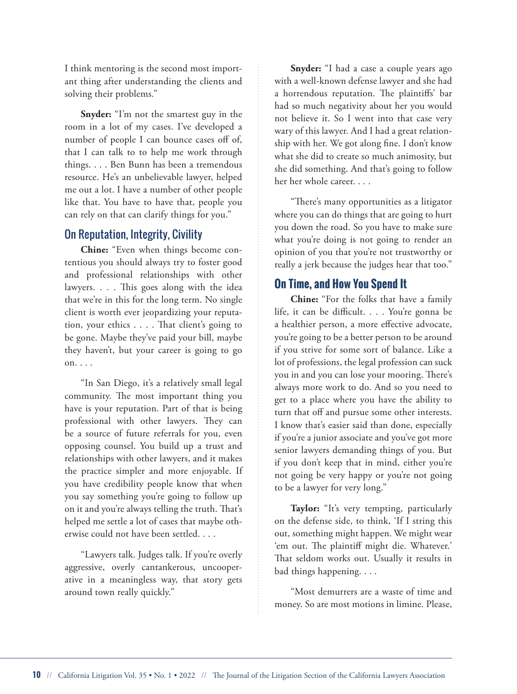I think mentoring is the second most important thing after understanding the clients and solving their problems."

**Snyder:** "I'm not the smartest guy in the room in a lot of my cases. I've developed a number of people I can bounce cases off of, that I can talk to to help me work through things. . . . Ben Bunn has been a tremendous resource. He's an unbelievable lawyer, helped me out a lot. I have a number of other people like that. You have to have that, people you can rely on that can clarify things for you."

#### On Reputation, Integrity, Civility

**Chine:** "Even when things become contentious you should always try to foster good and professional relationships with other lawyers. . . . This goes along with the idea that we're in this for the long term. No single client is worth ever jeopardizing your reputation, your ethics . . . . That client's going to be gone. Maybe they've paid your bill, maybe they haven't, but your career is going to go on. . . .

"In San Diego, it's a relatively small legal community. The most important thing you have is your reputation. Part of that is being professional with other lawyers. They can be a source of future referrals for you, even opposing counsel. You build up a trust and relationships with other lawyers, and it makes the practice simpler and more enjoyable. If you have credibility people know that when you say something you're going to follow up on it and you're always telling the truth. That's helped me settle a lot of cases that maybe otherwise could not have been settled. . . .

"Lawyers talk. Judges talk. If you're overly aggressive, overly cantankerous, uncooperative in a meaningless way, that story gets around town really quickly."

**Snyder:** "I had a case a couple years ago with a well-known defense lawyer and she had a horrendous reputation. The plaintiffs' bar had so much negativity about her you would not believe it. So I went into that case very wary of this lawyer. And I had a great relationship with her. We got along fine. I don't know what she did to create so much animosity, but she did something. And that's going to follow her her whole career. . . .

"There's many opportunities as a litigator where you can do things that are going to hurt you down the road. So you have to make sure what you're doing is not going to render an opinion of you that you're not trustworthy or really a jerk because the judges hear that too."

#### **On Time, and How You Spend It**

**Chine:** "For the folks that have a family life, it can be difficult. . . . You're gonna be a healthier person, a more effective advocate, you're going to be a better person to be around if you strive for some sort of balance. Like a lot of professions, the legal profession can suck you in and you can lose your mooring. There's always more work to do. And so you need to get to a place where you have the ability to turn that off and pursue some other interests. I know that's easier said than done, especially if you're a junior associate and you've got more senior lawyers demanding things of you. But if you don't keep that in mind, either you're not going be very happy or you're not going to be a lawyer for very long."

Taylor: "It's very tempting, particularly on the defense side, to think, 'If I string this out, something might happen. We might wear 'em out. The plaintiff might die. Whatever.' That seldom works out. Usually it results in bad things happening. . . .

"Most demurrers are a waste of time and money. So are most motions in limine. Please,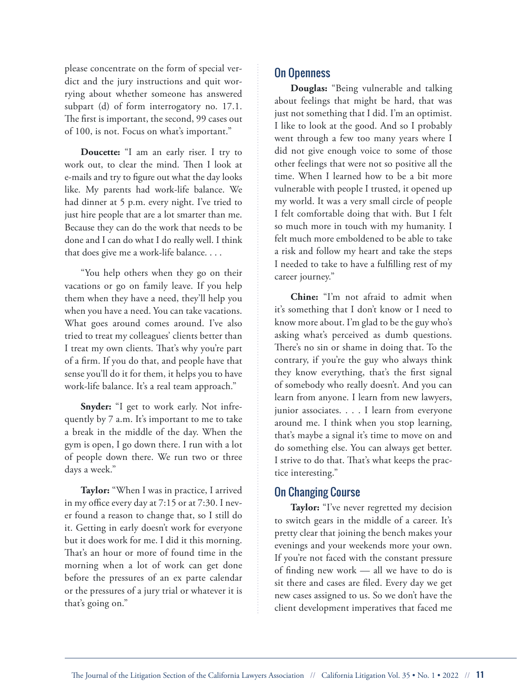please concentrate on the form of special verdict and the jury instructions and quit worrying about whether someone has answered subpart (d) of form interrogatory no. 17.1. The first is important, the second, 99 cases out of 100, is not. Focus on what's important."

**Doucette:** "I am an early riser. I try to work out, to clear the mind. Then I look at e-mails and try to figure out what the day looks like. My parents had work-life balance. We had dinner at 5 p.m. every night. I've tried to just hire people that are a lot smarter than me. Because they can do the work that needs to be done and I can do what I do really well. I think that does give me a work-life balance. . . .

"You help others when they go on their vacations or go on family leave. If you help them when they have a need, they'll help you when you have a need. You can take vacations. What goes around comes around. I've also tried to treat my colleagues' clients better than I treat my own clients. That's why you're part of a firm. If you do that, and people have that sense you'll do it for them, it helps you to have work-life balance. It's a real team approach."

**Snyder:** "I get to work early. Not infrequently by 7 a.m. It's important to me to take a break in the middle of the day. When the gym is open, I go down there. I run with a lot of people down there. We run two or three days a week."

**Taylor:** "When I was in practice, I arrived in my office every day at 7:15 or at 7:30. I never found a reason to change that, so I still do it. Getting in early doesn't work for everyone but it does work for me. I did it this morning. That's an hour or more of found time in the morning when a lot of work can get done before the pressures of an ex parte calendar or the pressures of a jury trial or whatever it is that's going on."

## On Openness

**Douglas:** "Being vulnerable and talking about feelings that might be hard, that was just not something that I did. I'm an optimist. I like to look at the good. And so I probably went through a few too many years where I did not give enough voice to some of those other feelings that were not so positive all the time. When I learned how to be a bit more vulnerable with people I trusted, it opened up my world. It was a very small circle of people I felt comfortable doing that with. But I felt so much more in touch with my humanity. I felt much more emboldened to be able to take a risk and follow my heart and take the steps I needed to take to have a fulfilling rest of my career journey."

**Chine:** "I'm not afraid to admit when it's something that I don't know or I need to know more about. I'm glad to be the guy who's asking what's perceived as dumb questions. There's no sin or shame in doing that. To the contrary, if you're the guy who always think they know everything, that's the first signal of somebody who really doesn't. And you can learn from anyone. I learn from new lawyers, junior associates. . . . I learn from everyone around me. I think when you stop learning, that's maybe a signal it's time to move on and do something else. You can always get better. I strive to do that. That's what keeps the practice interesting."

#### On Changing Course

Taylor: "I've never regretted my decision to switch gears in the middle of a career. It's pretty clear that joining the bench makes your evenings and your weekends more your own. If you're not faced with the constant pressure of finding new work — all we have to do is sit there and cases are filed. Every day we get new cases assigned to us. So we don't have the client development imperatives that faced me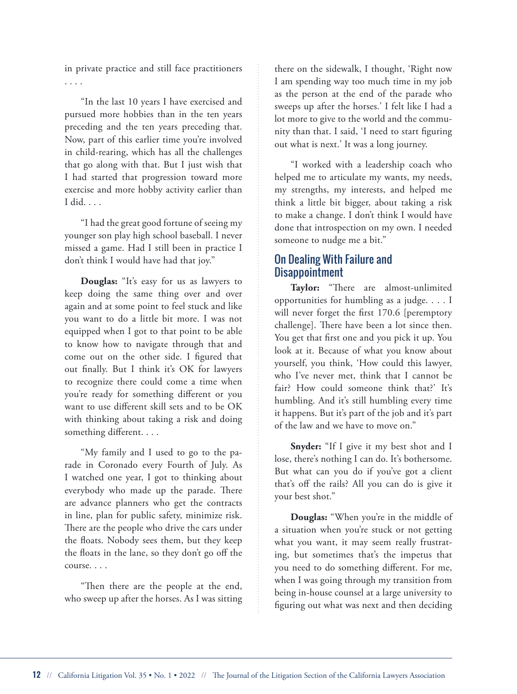in private practice and still face practitioners . . . .

"In the last 10 years I have exercised and pursued more hobbies than in the ten years preceding and the ten years preceding that. Now, part of this earlier time you're involved in child-rearing, which has all the challenges that go along with that. But I just wish that I had started that progression toward more exercise and more hobby activity earlier than I did. . . .

"I had the great good fortune of seeing my younger son play high school baseball. I never missed a game. Had I still been in practice I don't think I would have had that joy."

**Douglas:** "It's easy for us as lawyers to keep doing the same thing over and over again and at some point to feel stuck and like you want to do a little bit more. I was not equipped when I got to that point to be able to know how to navigate through that and come out on the other side. I figured that out finally. But I think it's OK for lawyers to recognize there could come a time when you're ready for something different or you want to use different skill sets and to be OK with thinking about taking a risk and doing something different. . . .

"My family and I used to go to the parade in Coronado every Fourth of July. As I watched one year, I got to thinking about everybody who made up the parade. There are advance planners who get the contracts in line, plan for public safety, minimize risk. There are the people who drive the cars under the floats. Nobody sees them, but they keep the floats in the lane, so they don't go off the course. . . .

"Then there are the people at the end, who sweep up after the horses. As I was sitting

there on the sidewalk, I thought, 'Right now I am spending way too much time in my job as the person at the end of the parade who sweeps up after the horses.' I felt like I had a lot more to give to the world and the community than that. I said, 'I need to start figuring out what is next.' It was a long journey.

"I worked with a leadership coach who helped me to articulate my wants, my needs, my strengths, my interests, and helped me think a little bit bigger, about taking a risk to make a change. I don't think I would have done that introspection on my own. I needed someone to nudge me a bit."

# On Dealing With Failure and Disappointment

**Taylor:** "There are almost-unlimited opportunities for humbling as a judge. . . . I will never forget the first 170.6 [peremptory challenge]. There have been a lot since then. You get that first one and you pick it up. You look at it. Because of what you know about yourself, you think, 'How could this lawyer, who I've never met, think that I cannot be fair? How could someone think that?' It's humbling. And it's still humbling every time it happens. But it's part of the job and it's part of the law and we have to move on."

**Snyder:** "If I give it my best shot and I lose, there's nothing I can do. It's bothersome. But what can you do if you've got a client that's off the rails? All you can do is give it your best shot."

**Douglas:** "When you're in the middle of a situation when you're stuck or not getting what you want, it may seem really frustrating, but sometimes that's the impetus that you need to do something different. For me, when I was going through my transition from being in-house counsel at a large university to figuring out what was next and then deciding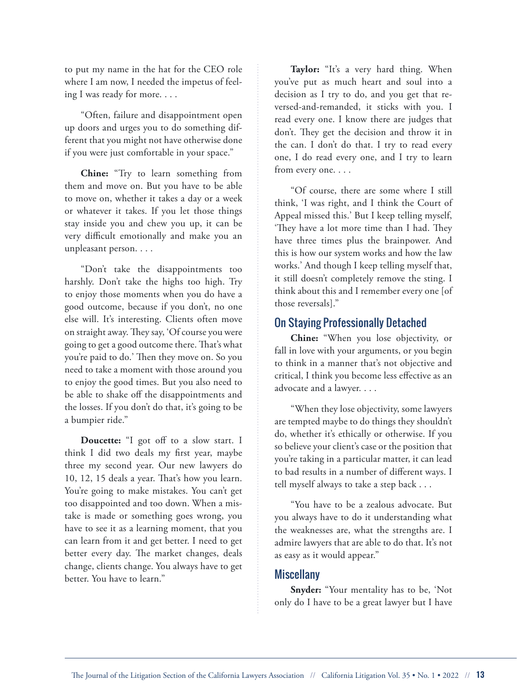to put my name in the hat for the CEO role where I am now, I needed the impetus of feeling I was ready for more. . . .

"Often, failure and disappointment open up doors and urges you to do something different that you might not have otherwise done if you were just comfortable in your space."

**Chine:** "Try to learn something from them and move on. But you have to be able to move on, whether it takes a day or a week or whatever it takes. If you let those things stay inside you and chew you up, it can be very difficult emotionally and make you an unpleasant person. . . .

"Don't take the disappointments too harshly. Don't take the highs too high. Try to enjoy those moments when you do have a good outcome, because if you don't, no one else will. It's interesting. Clients often move on straight away. They say, 'Of course you were going to get a good outcome there. That's what you're paid to do.' Then they move on. So you need to take a moment with those around you to enjoy the good times. But you also need to be able to shake off the disappointments and the losses. If you don't do that, it's going to be a bumpier ride."

**Doucette:** "I got off to a slow start. I think I did two deals my first year, maybe three my second year. Our new lawyers do 10, 12, 15 deals a year. That's how you learn. You're going to make mistakes. You can't get too disappointed and too down. When a mistake is made or something goes wrong, you have to see it as a learning moment, that you can learn from it and get better. I need to get better every day. The market changes, deals change, clients change. You always have to get better. You have to learn."

**Taylor:** "It's a very hard thing. When you've put as much heart and soul into a decision as I try to do, and you get that reversed-and-remanded, it sticks with you. I read every one. I know there are judges that don't. They get the decision and throw it in the can. I don't do that. I try to read every one, I do read every one, and I try to learn from every one. . . .

"Of course, there are some where I still think, 'I was right, and I think the Court of Appeal missed this.' But I keep telling myself, 'They have a lot more time than I had. They have three times plus the brainpower. And this is how our system works and how the law works.' And though I keep telling myself that, it still doesn't completely remove the sting. I think about this and I remember every one [of those reversals]."

#### On Staying Professionally Detached

**Chine:** "When you lose objectivity, or fall in love with your arguments, or you begin to think in a manner that's not objective and critical, I think you become less effective as an advocate and a lawyer. . . .

"When they lose objectivity, some lawyers are tempted maybe to do things they shouldn't do, whether it's ethically or otherwise. If you so believe your client's case or the position that you're taking in a particular matter, it can lead to bad results in a number of different ways. I tell myself always to take a step back . . .

"You have to be a zealous advocate. But you always have to do it understanding what the weaknesses are, what the strengths are. I admire lawyers that are able to do that. It's not as easy as it would appear."

#### **Miscellany**

**Snyder:** "Your mentality has to be, 'Not only do I have to be a great lawyer but I have